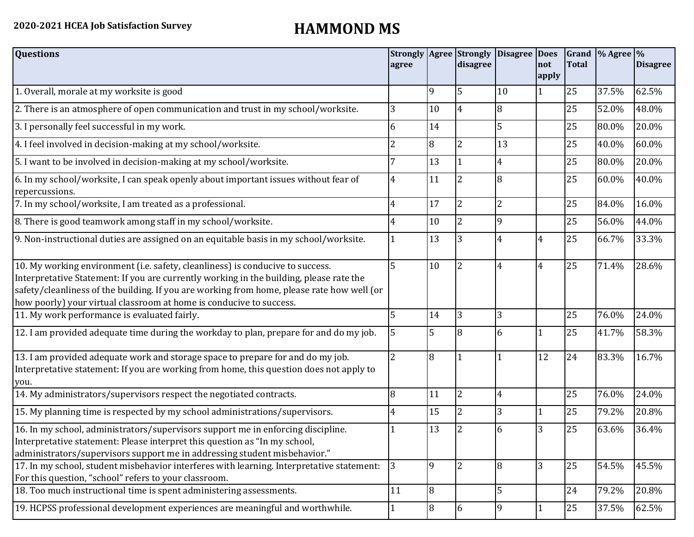| <b>Questions</b>                                                                                                                                                                                                                                                                                                                               | agree |                | <b>Strongly Agree Strongly</b><br>disagree | Disagree Does | Inot<br>apply  | <b>Total</b> | Grand $\%$ Agree $\%$ | <b>Disagree</b> |
|------------------------------------------------------------------------------------------------------------------------------------------------------------------------------------------------------------------------------------------------------------------------------------------------------------------------------------------------|-------|----------------|--------------------------------------------|---------------|----------------|--------------|-----------------------|-----------------|
| 1. Overall, morale at my worksite is good                                                                                                                                                                                                                                                                                                      |       | 9              | 5                                          | 10            | 1              | 25           | 37.5%                 | 62.5%           |
| 2. There is an atmosphere of open communication and trust in my school/worksite.                                                                                                                                                                                                                                                               | 3     | 10             | $\overline{4}$                             | 8             |                | 25           | 52.0%                 | 48.0%           |
| 3. I personally feel successful in my work.                                                                                                                                                                                                                                                                                                    | 6     | 14             |                                            | 5             |                | 25           | 80.0%                 | 20.0%           |
| 4. I feel involved in decision-making at my school/worksite.                                                                                                                                                                                                                                                                                   | 2     | 8              | $\overline{2}$                             | 13            |                | 25           | 40.0%                 | 60.0%           |
| 5. I want to be involved in decision-making at my school/worksite.                                                                                                                                                                                                                                                                             |       | 13             |                                            | 4             |                | 25           | 80.0%                 | 20.0%           |
| 6. In my school/worksite, I can speak openly about important issues without fear of<br>repercussions.                                                                                                                                                                                                                                          | 4     | 11             | $\overline{2}$                             | 8             |                | 25           | 60.0%                 | 40.0%           |
| 7. In my school/worksite, I am treated as a professional.                                                                                                                                                                                                                                                                                      | 4     | 17             | $\overline{2}$                             | 2             |                | 25           | 84.0%                 | 16.0%           |
| 8. There is good teamwork among staff in my school/worksite.                                                                                                                                                                                                                                                                                   | 4     | 10             | $\overline{2}$                             | $\mathbf{Q}$  |                | 25           | 56.0%                 | 44.0%           |
| 9. Non-instructional duties are assigned on an equitable basis in my school/worksite.                                                                                                                                                                                                                                                          |       | 13             | 3                                          | 4             | 4              | 25           | 66.7%                 | 33.3%           |
| 10. My working environment (i.e. safety, cleanliness) is conducive to success.<br>Interpretative Statement: If you are currently working in the building, please rate the<br>safety/cleanliness of the building. If you are working from home, please rate how well (or<br>how poorly) your virtual classroom at home is conducive to success. | 5     | 10             | $\overline{2}$                             | 4             | $\overline{4}$ | 25           | 71.4%                 | 28.6%           |
| 11. My work performance is evaluated fairly.                                                                                                                                                                                                                                                                                                   | 5     | 14             | 3                                          | 3             |                | 25           | 76.0%                 | 24.0%           |
| 12. I am provided adequate time during the workday to plan, prepare for and do my job.                                                                                                                                                                                                                                                         | 5     | 5              | 8                                          | 6             |                | 25           | 41.7%                 | 58.3%           |
| 13. I am provided adequate work and storage space to prepare for and do my job.<br>Interpretative statement: If you are working from home, this question does not apply to<br>you.                                                                                                                                                             | 2     | 8              |                                            |               | 12             | 24           | 83.3%                 | 16.7%           |
| 14. My administrators/supervisors respect the negotiated contracts.                                                                                                                                                                                                                                                                            | 8     | 11             | $\overline{2}$                             | 4             |                | 25           | 76.0%                 | 24.0%           |
| 15. My planning time is respected by my school administrations/supervisors.                                                                                                                                                                                                                                                                    | 4     | 15             | $\overline{2}$                             | 3             | 1              | 25           | 79.2%                 | 20.8%           |
| 16. In my school, administrators/supervisors support me in enforcing discipline.<br>Interpretative statement: Please interpret this question as "In my school,<br>administrators/supervisors support me in addressing student misbehavior."                                                                                                    |       | 13             | $\overline{2}$                             | 6             | 3              | 25           | 63.6%                 | 36.4%           |
| 17. In my school, student misbehavior interferes with learning. Interpretative statement:<br>For this question, "school" refers to your classroom.                                                                                                                                                                                             | 3     | 9              | $\overline{2}$                             | 8             | 3              | 25           | 54.5%                 | 45.5%           |
| 18. Too much instructional time is spent administering assessments.                                                                                                                                                                                                                                                                            | 11    | 8              |                                            | 5             |                | 24           | 79.2%                 | 20.8%           |
| 19. HCPSS professional development experiences are meaningful and worthwhile.                                                                                                                                                                                                                                                                  |       | $\overline{8}$ | 6                                          | 9             |                | 25           | 37.5%                 | 62.5%           |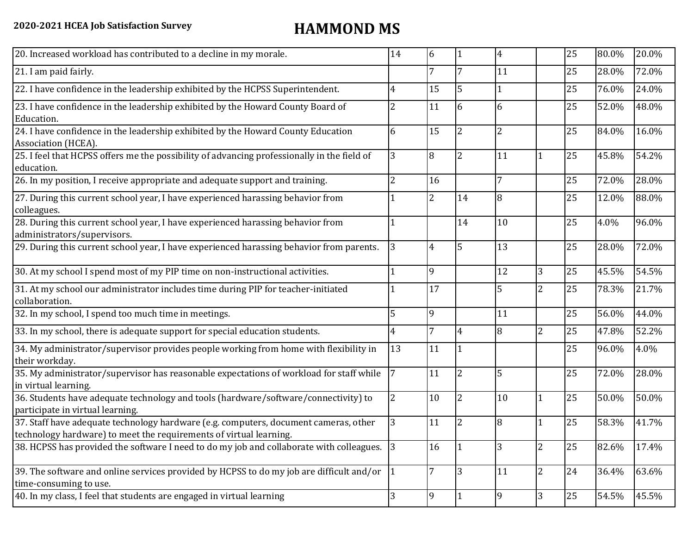| 20. Increased workload has contributed to a decline in my morale.                                                                                          | 14 | 6              | 11             | 4  |                | 25 | 80.0% | 20.0% |
|------------------------------------------------------------------------------------------------------------------------------------------------------------|----|----------------|----------------|----|----------------|----|-------|-------|
| 21. I am paid fairly.                                                                                                                                      |    | 7              | 7              | 11 |                | 25 | 28.0% | 72.0% |
| 22. I have confidence in the leadership exhibited by the HCPSS Superintendent.                                                                             | 4  | 15             | 5              |    |                | 25 | 76.0% | 24.0% |
| 23. I have confidence in the leadership exhibited by the Howard County Board of<br>Education.                                                              | 2  | 11             | 6              | 6  |                | 25 | 52.0% | 48.0% |
| 24. I have confidence in the leadership exhibited by the Howard County Education<br>Association (HCEA).                                                    | 6  | 15             | $\overline{2}$ | 2  |                | 25 | 84.0% | 16.0% |
| 25. I feel that HCPSS offers me the possibility of advancing professionally in the field of<br>education.                                                  | 3  | 8              | $\overline{2}$ | 11 | 1              | 25 | 45.8% | 54.2% |
| 26. In my position, I receive appropriate and adequate support and training.                                                                               | 2  | 16             |                | 7  |                | 25 | 72.0% | 28.0% |
| 27. During this current school year, I have experienced harassing behavior from<br>colleagues.                                                             |    | $\overline{2}$ | 14             | 8  |                | 25 | 12.0% | 88.0% |
| 28. During this current school year, I have experienced harassing behavior from<br>administrators/supervisors.                                             |    |                | 14             | 10 |                | 25 | 4.0%  | 96.0% |
| 29. During this current school year, I have experienced harassing behavior from parents.                                                                   | 3  | 4              | 5              | 13 |                | 25 | 28.0% | 72.0% |
| 30. At my school I spend most of my PIP time on non-instructional activities.                                                                              |    | 9              |                | 12 | 3              | 25 | 45.5% | 54.5% |
| 31. At my school our administrator includes time during PIP for teacher-initiated<br>collaboration.                                                        |    | 17             |                | 5  | $\overline{c}$ | 25 | 78.3% | 21.7% |
| 32. In my school, I spend too much time in meetings.                                                                                                       | 5  | 9              |                | 11 |                | 25 | 56.0% | 44.0% |
| 33. In my school, there is adequate support for special education students.                                                                                | 4  | 7              | 4              | 8  | 2              | 25 | 47.8% | 52.2% |
| 34. My administrator/supervisor provides people working from home with flexibility in<br>their workday.                                                    | 13 | 11             | l 1            |    |                | 25 | 96.0% | 4.0%  |
| 35. My administrator/supervisor has reasonable expectations of workload for staff while<br>in virtual learning.                                            |    | 11             | $\overline{2}$ | 5  |                | 25 | 72.0% | 28.0% |
| 36. Students have adequate technology and tools (hardware/software/connectivity) to<br>participate in virtual learning.                                    | 2  | 10             | <sup>2</sup>   | 10 | 1              | 25 | 50.0% | 50.0% |
| 37. Staff have adequate technology hardware (e.g. computers, document cameras, other<br>technology hardware) to meet the requirements of virtual learning. | 3  | 11             | $\overline{2}$ | 8  | 1              | 25 | 58.3% | 41.7% |
| 38. HCPSS has provided the software I need to do my job and collaborate with colleagues.                                                                   | 3  | 16             | 11             | 3  | $\overline{c}$ | 25 | 82.6% | 17.4% |
| 39. The software and online services provided by HCPSS to do my job are difficult and/or $\begin{vmatrix} 1 \end{vmatrix}$<br>time-consuming to use.       |    | 7              | 13             | 11 | 2              | 24 | 36.4% | 63.6% |
| 40. In my class, I feel that students are engaged in virtual learning                                                                                      | 3  | 9              | 11             | 9  | 3              | 25 | 54.5% | 45.5% |